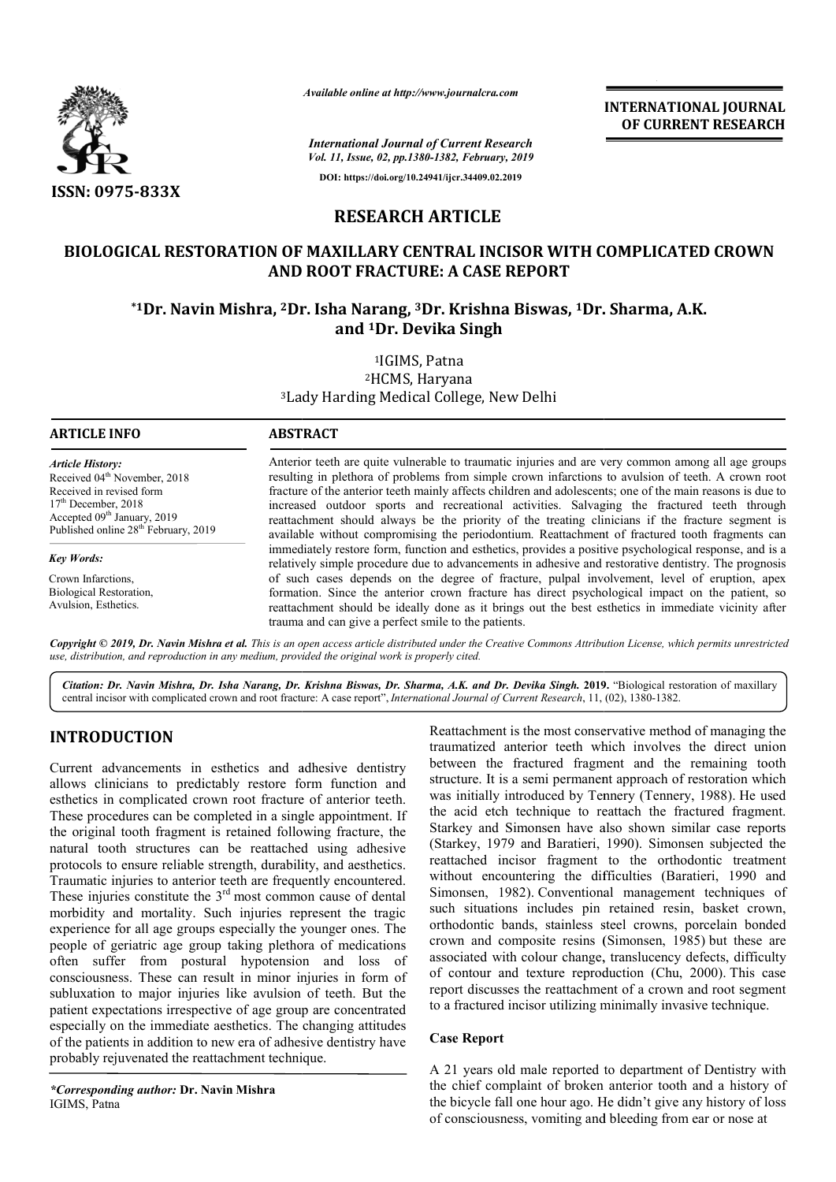

*Available online at http://www.journalcra.com*

**INTERNATIONAL JOURNAL OF CURRENT RESEARCH**

*International Journal of Current Research Vol. 11, Issue, 02, pp.1380-1382, February, 2019* **DOI: https://doi.org/10.24941/ijcr.34409.02.2019**

**RESEARCH ARTICLE**

## **BIOLOGICAL RESTORATION OF MAXILLARY CENTRAL INCISOR WITH COMP COMPLICATED CROWN AND ROOT FRACTURE: A CASE REPORT**

# \*1Dr. Navin Mishra, <sup>2</sup>Dr. Isha Narang, <sup>3</sup>Dr. Krishna Biswas, <sup>1</sup>Dr. Sharma, A.K. **and 1Dr. Devika Singh**

3Lady Harding Lady Medical College, New Delhi 1IGIMS, Patna 2HCMS, Haryana

| Article History:                                                                  | Anterior teeth are quite vulnerable to traumatic injuries and are very common among all age groups                                                                                                     |
|-----------------------------------------------------------------------------------|--------------------------------------------------------------------------------------------------------------------------------------------------------------------------------------------------------|
| Received 04 <sup>th</sup> November, 2018                                          | resulting in plethora of problems from simple crown infarctions to avulsion of teeth. A crown root                                                                                                     |
| Received in revised form                                                          | fracture of the anterior teeth mainly affects children and adolescents; one of the main reasons is due to                                                                                              |
| $17th$ December, 2018                                                             | increased outdoor sports and recreational activities. Salvaging the fractured teeth through                                                                                                            |
| Accepted $09th$ January, 2019<br>Published online 28 <sup>th</sup> February, 2019 | reattachment should always be the priority of the treating clinicians if the fracture segment is                                                                                                       |
|                                                                                   | available without compromising the periodontium. Reattachment of fractured tooth fragments can                                                                                                         |
| Key Words:                                                                        | immediately restore form, function and esthetics, provides a positive psychological response, and is a                                                                                                 |
|                                                                                   | relatively simple procedure due to advancements in adhesive and restorative dentistry. The prognosis                                                                                                   |
| Crown Infarctions,                                                                | of such cases depends on the degree of fracture, pulpal involvement, level of eruption, apex                                                                                                           |
| <b>Biological Restoration,</b><br>Avulsion, Esthetics.                            | formation. Since the anterior crown fracture has direct psychological impact on the patient, so<br>reattachment should be ideally done as it brings out the best esthetics in immediate vicinity after |

Copyright © 2019, Dr. Navin Mishra et al. This is an open access article distributed under the Creative Commons Attribution License, which permits unrestrictea *use, distribution, and reproduction in any medium, provided the original work is properly cited.*

trauma and can give a perfect smile to the patients.

Citation: Dr. Navin Mishra, Dr. Isha Narang, Dr. Krishna Biswas, Dr. Sharma, A.K. and Dr. Devika Singh. 2019. "Biological restoration of maxillary central incisor with complicated crown and root fracture: A case report", *International Journal of Current Research*, 11, (02), 1380-1382.

# **INTRODUCTION**

*Key Words:*

Current advancements in esthetics and adhesive dentistry allows clinicians to predictably restore form function and esthetics in complicated crown root fracture of anterior teeth. These procedures can be completed in a single appointment. If the original tooth fragment is retained following fracture, the natural tooth structures can be reattached using adhesive protocols to ensure reliable strength, durability, and aesthetics. Traumatic injuries to anterior teeth are frequently encountered. These injuries constitute the  $3<sup>rd</sup>$  most common cause of dental morbidity and mortality. Such injuries represent the tragic experience for all age groups especially the younger ones. The people of geriatric age group taking plethora of medications often suffer from postural hypotension and loss of consciousness. These can result in minor injuries in form of subluxation to major injuries like avulsion of teeth. But the patient expectations irrespective of age group are concentrated especially on the immediate aesthetics. The changing attitudes of the patients in addition to new era of adhesive dentistry have probably rejuvenated the reattachment technique. ooth fragment is retained following fracture, the<br>
u structures can be reattached using adhesive<br>
ensure reliable strength, durability, and aesthetics.<br>
uries to anterior teeth are frequently encountered.<br>
s constitute th

**ARTICLE INFO ABSTRACT**

Reattachment is the most conservative method of managing the traumatized anterior teeth which involves the direct union between the fractured fragment and the remaining tooth structure. It is a semi permanent approach of restoration which was initially introduced by Tennery (Tennery, 1988). He used the acid etch technique to reattach the fractured fragment. Starkey and Simonsen have also shown similar case reports the acid etch technique to reattach the fractured fragment.<br>Starkey and Simonsen have also shown similar case reports<br>(Starkey, 1979 and Baratieri, 1990). Simonsen subjected the reattached incisor fragment to the orthodontic treatment without encountering the difficulties (Baratieri, 1990 and Simonsen, 1982). Conventional management techniques of such situations includes pin retained resin, basket crown, orthodontic bands, stainless steel crowns, porcelain bonded crown and composite resins (Simonsen, 1985) but these are associated with colour change, translucency defects, difficulty associated with colour change, translucency defects, difficulty of contour and texture reproduction (Chu, 2000). This case report discusses the reattachment of a crown and root segment to a fractured incisor utilizing minimally invasive technique. matized anterior teeth which involves the direct union<br>reen the fractured fragment and the remaining tooth<br>ture. It is a semi permanent approach of restoration which<br>initially introduced by Tennery (Tennery, 1988). He used Susen, 1982). Conventional management techniques of situations includes pin retained resin, basket crown, lontic bands, stainless steel crowns, porcelain bonded and composite resins (Simonsen, 1985) but these are

### **Case Report**

A 21 years old male reported to department of Dentistry with the chief complaint of broken anterior tooth and a history of the bicycle fall one hour ago. He didn't give any history of loss of consciousness, vomiting and bleeding from ear or nose a report discusses the reattachment of a crown and root segment<br>to a fractured incisor utilizing minimally invasive technique.<br>Case Report<br>A 21 years old male reported to department of Dentistry with<br>the chief complaint of b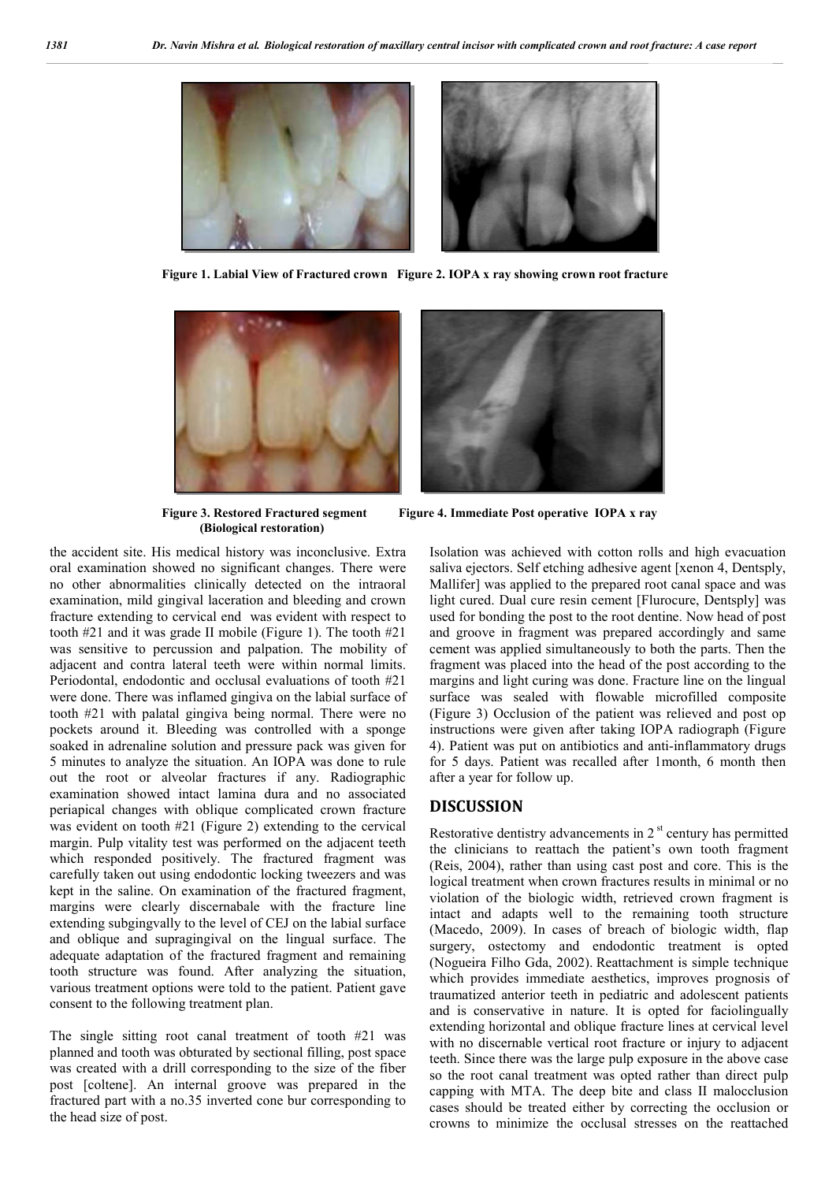

 **Figure 1. Labial View of Fractured crown Figure 2. IOPA x ray showing crown root fracture**



 **(Biological restoration)**

the accident site. His medical history was inconclusive. Extra oral examination showed no significant changes. There were no other abnormalities clinically detected on the intraoral examination, mild gingival laceration and bleeding and crown fracture extending to cervical end was evident with respect to tooth #21 and it was grade II mobile (Figure 1). The tooth #21 was sensitive to percussion and palpation. The mobility of adjacent and contra lateral teeth were within normal limits. Periodontal, endodontic and occlusal evaluations of tooth #21 were done. There was inflamed gingiva on the labial surface of tooth #21 with palatal gingiva being normal. There were no pockets around it. Bleeding was controlled with a sponge soaked in adrenaline solution and pressure pack was given for 5 minutes to analyze the situation. An IOPA was done to rule out the root or alveolar fractures if any. Radiographic examination showed intact lamina dura and no associated periapical changes with oblique complicated crown fracture was evident on tooth #21 (Figure 2) extending to the cervical margin. Pulp vitality test was performed on the adjacent teeth which responded positively. The fractured fragment was carefully taken out using endodontic locking tweezers and was kept in the saline. On examination of the fractured fragment, margins were clearly discernabale with the fracture line extending subgingvally to the level of CEJ on the labial surface and oblique and supragingival on the lingual surface. The adequate adaptation of the fractured fragment and remaining tooth structure was found. After analyzing the situation, various treatment options were told to the patient. Patient gave consent to the following treatment plan.

The single sitting root canal treatment of tooth #21 was planned and tooth was obturated by sectional filling, post space was created with a drill corresponding to the size of the fiber post [coltene]. An internal groove was prepared in the fractured part with a no.35 inverted cone bur corresponding to the head size of post.

Figure 3. Restored Fractured segment Figure 4. Immediate Post operative IOPA x ray

Isolation was achieved with cotton rolls and high evacuation saliva ejectors. Self etching adhesive agent [xenon 4, Dentsply, Mallifer] was applied to the prepared root canal space and was light cured. Dual cure resin cement [Flurocure, Dentsply] was used for bonding the post to the root dentine. Now head of post and groove in fragment was prepared accordingly and same cement was applied simultaneously to both the parts. Then the fragment was placed into the head of the post according to the margins and light curing was done. Fracture line on the lingual surface was sealed with flowable microfilled composite (Figure 3) Occlusion of the patient was relieved and post op instructions were given after taking IOPA radiograph (Figure 4). Patient was put on antibiotics and anti-inflammatory drugs for 5 days. Patient was recalled after 1month, 6 month then after a year for follow up.

#### **DISCUSSION**

Restorative dentistry advancements in  $2<sup>st</sup>$  century has permitted the clinicians to reattach the patient's own tooth fragment (Reis, 2004), rather than using cast post and core. This is the logical treatment when crown fractures results in minimal or no violation of the biologic width, retrieved crown fragment is intact and adapts well to the remaining tooth structure (Macedo, 2009). In cases of breach of biologic width, flap surgery, ostectomy and endodontic treatment is opted (Nogueira Filho Gda, 2002). Reattachment is simple technique which provides immediate aesthetics, improves prognosis of traumatized anterior teeth in pediatric and adolescent patients and is conservative in nature. It is opted for faciolingually extending horizontal and oblique fracture lines at cervical level with no discernable vertical root fracture or injury to adjacent teeth. Since there was the large pulp exposure in the above case so the root canal treatment was opted rather than direct pulp capping with MTA. The deep bite and class II malocclusion cases should be treated either by correcting the occlusion or crowns to minimize the occlusal stresses on the reattached